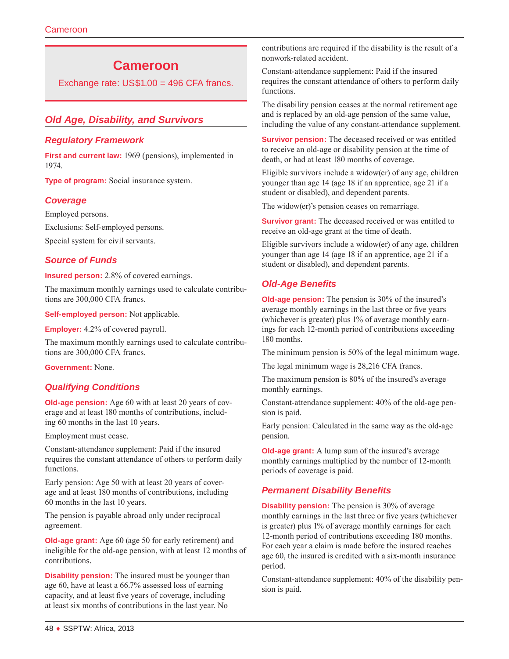# **Cameroon**

Exchange rate: US\$1.00 = 496 CFA francs.

# *Old Age, Disability, and Survivors*

#### *Regulatory Framework*

**First and current law:** 1969 (pensions), implemented in 1974.

**Type of program:** Social insurance system.

#### *Coverage*

Employed persons.

Exclusions: Self-employed persons.

Special system for civil servants.

#### *Source of Funds*

**Insured person:** 2.8% of covered earnings.

The maximum monthly earnings used to calculate contributions are 300,000 CFA francs.

**Self-employed person:** Not applicable.

**Employer:** 4.2% of covered payroll.

The maximum monthly earnings used to calculate contributions are 300,000 CFA francs.

**Government:** None.

## *Qualifying Conditions*

**Old-age pension:** Age 60 with at least 20 years of coverage and at least 180 months of contributions, including 60 months in the last 10 years.

Employment must cease.

Constant-attendance supplement: Paid if the insured requires the constant attendance of others to perform daily functions.

Early pension: Age 50 with at least 20 years of coverage and at least 180 months of contributions, including 60 months in the last 10 years.

The pension is payable abroad only under reciprocal agreement.

**Old-age grant:** Age 60 (age 50 for early retirement) and ineligible for the old-age pension, with at least 12 months of contributions.

**Disability pension:** The insured must be younger than age 60, have at least a 66.7% assessed loss of earning capacity, and at least five years of coverage, including at least six months of contributions in the last year. No

contributions are required if the disability is the result of a nonwork-related accident.

Constant-attendance supplement: Paid if the insured requires the constant attendance of others to perform daily functions.

The disability pension ceases at the normal retirement age and is replaced by an old-age pension of the same value, including the value of any constant-attendance supplement.

**Survivor pension:** The deceased received or was entitled to receive an old-age or disability pension at the time of death, or had at least 180 months of coverage.

Eligible survivors include a widow(er) of any age, children younger than age 14 (age 18 if an apprentice, age 21 if a student or disabled), and dependent parents.

The widow(er)'s pension ceases on remarriage.

**Survivor grant:** The deceased received or was entitled to receive an old-age grant at the time of death.

Eligible survivors include a widow(er) of any age, children younger than age 14 (age 18 if an apprentice, age 21 if a student or disabled), and dependent parents.

# *Old-Age Benefits*

**Old-age pension:** The pension is 30% of the insured's average monthly earnings in the last three or five years (whichever is greater) plus 1% of average monthly earnings for each 12-month period of contributions exceeding 180 months.

The minimum pension is 50% of the legal minimum wage.

The legal minimum wage is 28,216 CFA francs.

The maximum pension is 80% of the insured's average monthly earnings.

Constant-attendance supplement: 40% of the old-age pension is paid.

Early pension: Calculated in the same way as the old-age pension.

**Old-age grant:** A lump sum of the insured's average monthly earnings multiplied by the number of 12-month periods of coverage is paid.

## *Permanent Disability Benefits*

**Disability pension:** The pension is 30% of average monthly earnings in the last three or five years (whichever is greater) plus 1% of average monthly earnings for each 12-month period of contributions exceeding 180 months. For each year a claim is made before the insured reaches age 60, the insured is credited with a six-month insurance period.

Constant-attendance supplement: 40% of the disability pension is paid.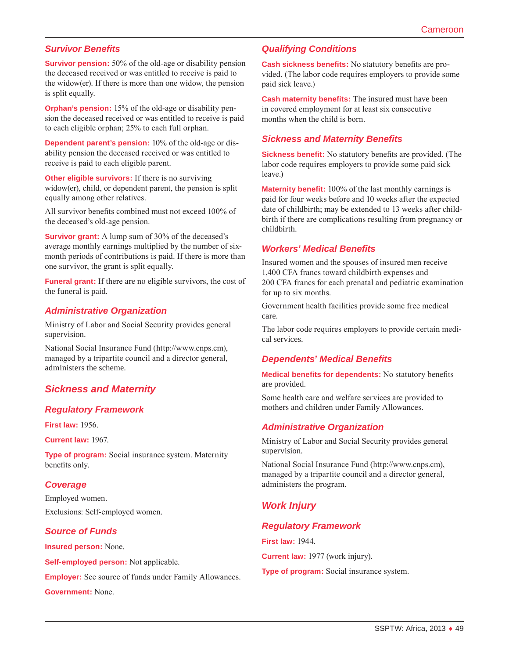## *Survivor Benefits*

**Survivor pension:** 50% of the old-age or disability pension the deceased received or was entitled to receive is paid to the widow(er). If there is more than one widow, the pension is split equally.

**Orphan's pension:** 15% of the old-age or disability pension the deceased received or was entitled to receive is paid to each eligible orphan; 25% to each full orphan.

**Dependent parent's pension:** 10% of the old-age or disability pension the deceased received or was entitled to receive is paid to each eligible parent.

**Other eligible survivors:** If there is no surviving widow(er), child, or dependent parent, the pension is split equally among other relatives.

All survivor benefits combined must not exceed 100% of the deceased's old-age pension.

**Survivor grant:** A lump sum of 30% of the deceased's average monthly earnings multiplied by the number of sixmonth periods of contributions is paid. If there is more than one survivor, the grant is split equally.

**Funeral grant:** If there are no eligible survivors, the cost of the funeral is paid.

#### *Administrative Organization*

Ministry of Labor and Social Security provides general supervision.

National Social Insurance Fund ([http://www.cnps.cm\)](http://www.cnps.cm), managed by a tripartite council and a director general, administers the scheme.

## *Sickness and Maternity*

#### *Regulatory Framework*

**First law:** 1956.

**Current law:** 1967.

**Type of program:** Social insurance system. Maternity benefits only.

#### *Coverage*

Employed women. Exclusions: Self-employed women.

#### *Source of Funds*

**Insured person:** None.

**Self-employed person:** Not applicable.

**Employer:** See source of funds under Family Allowances.

**Government:** None.

## *Qualifying Conditions*

**Cash sickness benefits:** No statutory benefits are provided. (The labor code requires employers to provide some paid sick leave.)

**Cash maternity benefits:** The insured must have been in covered employment for at least six consecutive months when the child is born.

## *Sickness and Maternity Benefits*

**Sickness benefit:** No statutory benefits are provided. (The labor code requires employers to provide some paid sick leave.)

**Maternity benefit:** 100% of the last monthly earnings is paid for four weeks before and 10 weeks after the expected date of childbirth; may be extended to 13 weeks after childbirth if there are complications resulting from pregnancy or childbirth.

#### *Workers' Medical Benefits*

Insured women and the spouses of insured men receive 1,400 CFA francs toward childbirth expenses and 200 CFA francs for each prenatal and pediatric examination for up to six months.

Government health facilities provide some free medical care.

The labor code requires employers to provide certain medical services.

#### *Dependents' Medical Benefits*

**Medical benefits for dependents:** No statutory benefits are provided.

Some health care and welfare services are provided to mothers and children under Family Allowances.

#### *Administrative Organization*

Ministry of Labor and Social Security provides general supervision.

National Social Insurance Fund ([http://www.cnps.cm\)](http://www.cnps.cm), managed by a tripartite council and a director general, administers the program.

## *Work Injury*

#### *Regulatory Framework*

**First law:** 1944.

**Current law:** 1977 (work injury).

**Type of program:** Social insurance system.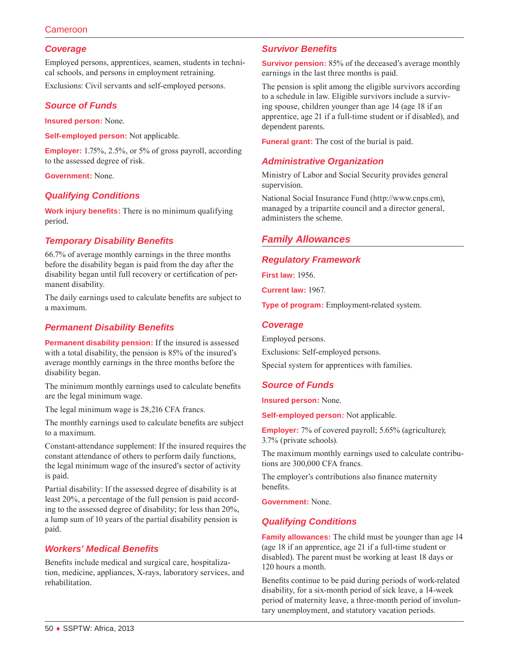## Cameroon

## *Coverage*

Employed persons, apprentices, seamen, students in technical schools, and persons in employment retraining.

Exclusions: Civil servants and self-employed persons.

## *Source of Funds*

**Insured person:** None.

**Self-employed person:** Not applicable.

**Employer:** 1.75%, 2.5%, or 5% of gross payroll, according to the assessed degree of risk.

**Government:** None.

## *Qualifying Conditions*

**Work injury benefits:** There is no minimum qualifying period.

## *Temporary Disability Benefits*

66.7% of average monthly earnings in the three months before the disability began is paid from the day after the disability began until full recovery or certification of permanent disability.

The daily earnings used to calculate benefits are subject to a maximum.

#### *Permanent Disability Benefits*

**Permanent disability pension:** If the insured is assessed with a total disability, the pension is 85% of the insured's average monthly earnings in the three months before the disability began.

The minimum monthly earnings used to calculate benefits are the legal minimum wage.

The legal minimum wage is 28,216 CFA francs.

The monthly earnings used to calculate benefits are subject to a maximum.

Constant-attendance supplement: If the insured requires the constant attendance of others to perform daily functions, the legal minimum wage of the insured's sector of activity is paid.

Partial disability: If the assessed degree of disability is at least 20%, a percentage of the full pension is paid according to the assessed degree of disability; for less than 20%, a lump sum of 10 years of the partial disability pension is paid.

#### *Workers' Medical Benefits*

Benefits include medical and surgical care, hospitalization, medicine, appliances, X-rays, laboratory services, and rehabilitation.

## *Survivor Benefits*

**Survivor pension:** 85% of the deceased's average monthly earnings in the last three months is paid.

The pension is split among the eligible survivors according to a schedule in law. Eligible survivors include a surviving spouse, children younger than age 14 (age 18 if an apprentice, age 21 if a full-time student or if disabled), and dependent parents.

**Funeral grant:** The cost of the burial is paid.

## *Administrative Organization*

Ministry of Labor and Social Security provides general supervision.

National Social Insurance Fund ([http://www.cnps.cm\)](http://www.cnps.cm), managed by a tripartite council and a director general, administers the scheme.

# *Family Allowances*

#### *Regulatory Framework*

**First law:** 1956.

**Current law:** 1967.

**Type of program:** Employment-related system.

#### *Coverage*

Employed persons. Exclusions: Self-employed persons.

Special system for apprentices with families.

#### *Source of Funds*

**Insured person:** None.

**Self-employed person:** Not applicable.

**Employer:** 7% of covered payroll; 5.65% (agriculture); 3.7% (private schools).

The maximum monthly earnings used to calculate contributions are 300,000 CFA francs.

The employer's contributions also finance maternity benefits.

**Government:** None.

#### *Qualifying Conditions*

**Family allowances:** The child must be younger than age 14 (age 18 if an apprentice, age 21 if a full-time student or disabled). The parent must be working at least 18 days or 120 hours a month.

Benefits continue to be paid during periods of work-related disability, for a six-month period of sick leave, a 14-week period of maternity leave, a three-month period of involuntary unemployment, and statutory vacation periods.